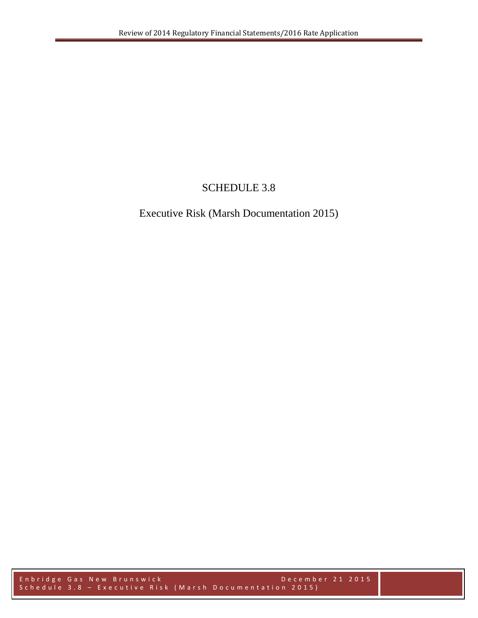## SCHEDULE 3.8

## Executive Risk (Marsh Documentation 2015)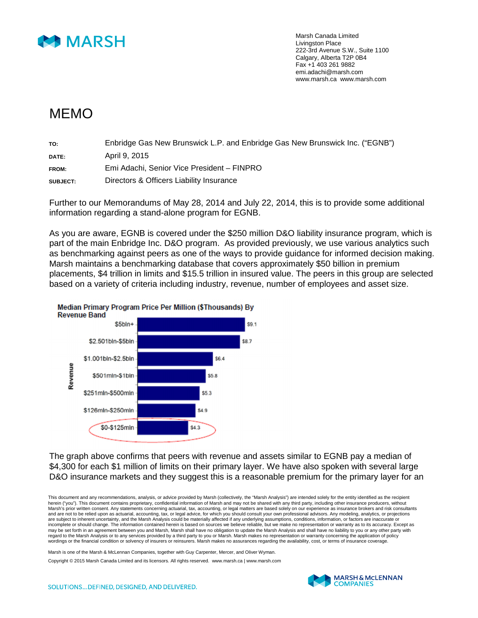

Marsh Canada Limited Livingston Place 222-3rd Avenue S.W., Suite 1100 Calgary, Alberta T2P 0B4 Fax +1 403 261 9882 emi.adachi@marsh.com www.marsh.ca www.marsh.com

## MEMO

| TO:      | Enbridge Gas New Brunswick L.P. and Enbridge Gas New Brunswick Inc. ("EGNB") |
|----------|------------------------------------------------------------------------------|
| DATE:    | April 9, 2015                                                                |
| FROM:    | Emi Adachi, Senior Vice President - FINPRO                                   |
| SUBJECT: | Directors & Officers Liability Insurance                                     |

Further to our Memorandums of May 28, 2014 and July 22, 2014, this is to provide some additional information regarding a stand-alone program for EGNB.

As you are aware, EGNB is covered under the \$250 million D&O liability insurance program, which is part of the main Enbridge Inc. D&O program. As provided previously, we use various analytics such as benchmarking against peers as one of the ways to provide guidance for informed decision making. Marsh maintains a benchmarking database that covers approximately \$50 billion in premium placements, \$4 trillion in limits and \$15.5 trillion in insured value. The peers in this group are selected based on a variety of criteria including industry, revenue, number of employees and asset size.



**Median Primary Program Price Per Million (\$Thousands) By** 

The graph above confirms that peers with revenue and assets similar to EGNB pay a median of \$4,300 for each \$1 million of limits on their primary layer. We have also spoken with several large D&O insurance markets and they suggest this is a reasonable premium for the primary layer for an

This document and any recommendations, analysis, or advice provided by Marsh (collectively, the "Marsh Analysis") are intended solely for the entity identified as the recipient herein ("you"). This document contains proprietary, confidential information of Marsh and may not be shared with any third party, including other insurance producers, without Marsh's prior written consent. Any statements concerning actuarial, tax, accounting, or legal matters are based solely on our experience as insurance brokers and risk consultants and are not to be relied upon as actuarial, accounting, tax, or legal advice, for which you should consult your own professional advisors. Any modeling, analytics, or projections are subject to inherent uncertainty, and the Marsh Analysis could be materially affected if any underlying assumptions, conditions, information, or factors are inaccurate or incomplete or should change. The information contained herein is based on sources we believe reliable, but we make no representation or warranty as to its accuracy. Except as may be set forth in an agreement between you and Marsh, Marsh shall have no obligation to update the Marsh Analysis and shall have no liability to you or any other party with regard to the Marsh Analysis or to any services provided by a third party to you or Marsh. Marsh makes no representation or warranty concerning the application of policy wordings or the financial condition or solvency of insurers or reinsurers. Marsh makes no assurances regarding the availability, cost, or terms of insurance coverage.

Marsh is one of the Marsh & McLennan Companies, together with Guy Carpenter, Mercer, and Oliver Wyman.

Copyright © 2015 Marsh Canada Limited and its licensors. All rights reserved. www.marsh.ca | www.marsh.com